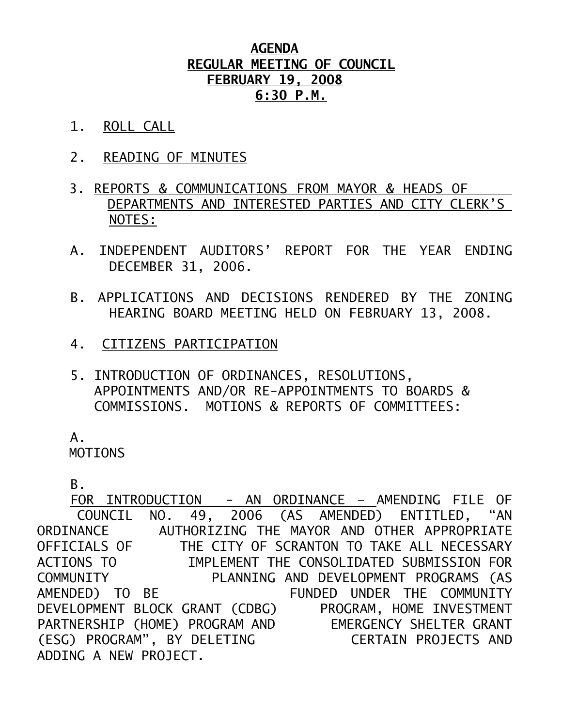## **AGENDA REGULAR MEETING OF COUNCIL FEBRUARY 19, 2008 6:30 P.M.**

- 1. ROLL CALL
- 2. READING OF MINUTES
- 3. REPORTS & COMMUNICATIONS FROM MAYOR & HEADS OF DEPARTMENTS AND INTERESTED PARTIES AND CITY CLERK'S NOTES:
- A. INDEPENDENT AUDITORS' REPORT FOR THE YEAR ENDING DECEMBER 31, 2006.
- B. APPLICATIONS AND DECISIONS RENDERED BY THE ZONING HEARING BOARD MEETING HELD ON FEBRUARY 13, 2008.
- 4. CITIZENS PARTICIPATION
- 5. INTRODUCTION OF ORDINANCES, RESOLUTIONS, APPOINTMENTS AND/OR RE-APPOINTMENTS TO BOARDS & COMMISSIONS. MOTIONS & REPORTS OF COMMITTEES:

 $A<sub>-</sub>$ 

MOTIONS

B.

 FOR INTRODUCTION - AN ORDINANCE – AMENDING FILE OF COUNCIL NO. 49, 2006 (AS AMENDED) ENTITLED, "AN ORDINANCE AUTHORIZING THE MAYOR AND OTHER APPROPRIATE<br>OFFICIALS OF THE CITY OF SCRANTON TO TAKE ALL NECESSARY THE CITY OF SCRANTON TO TAKE ALL NECESSARY ACTIONS TO IMPLEMENT THE CONSOLIDATED SUBMISSION FOR COMMUNITY PLANNING AND DEVELOPMENT PROGRAMS (AS AMENDED) TO BE FUNDED UNDER THE COMMUNITY DEVELOPMENT BLOCK GRANT (CDBG) PROGRAM, HOME INVESTMENT PARTNERSHIP (HOME) PROGRAM AND EMERGENCY SHELTER GRANT (ESG) PROGRAM", BY DELETING CERTAIN PROJECTS AND ADDING A NEW PROJECT.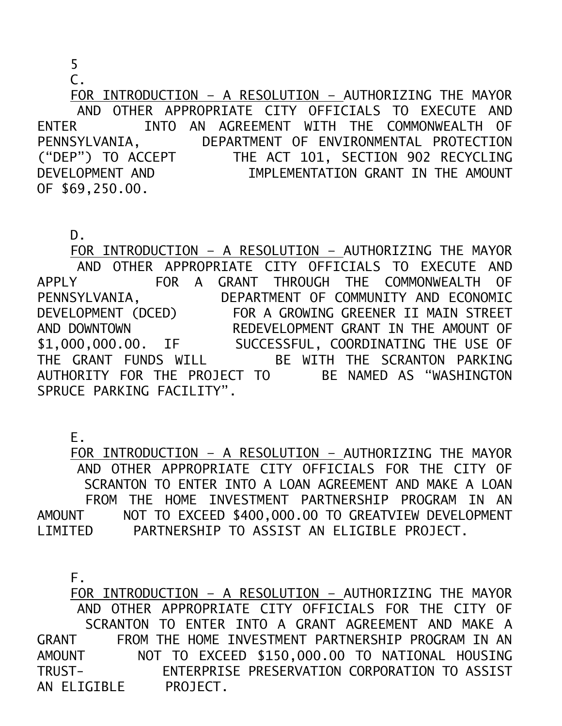5

 $\mathsf{C}$ .

 FOR INTRODUCTION – A RESOLUTION – AUTHORIZING THE MAYOR AND OTHER APPROPRIATE CITY OFFICIALS TO EXECUTE AND ENTER INTO AN AGREEMENT WITH THE COMMONWEALTH OF PENNSYLVANIA, DEPARTMENT OF ENVIRONMENTAL PROTECTION ("DEP") TO ACCEPT THE ACT 101, SECTION 902 RECYCLING DEVELOPMENT AND IMPLEMENTATION GRANT IN THE AMOUNT OF \$69,250.00.

 FOR INTRODUCTION – A RESOLUTION – AUTHORIZING THE MAYOR AND OTHER APPROPRIATE CITY OFFICIALS TO EXECUTE AND APPLY FOR A GRANT THROUGH THE COMMONWEALTH OF PENNSYLVANIA, DEPARTMENT OF COMMUNITY AND ECONOMIC DEVELOPMENT (DCED) FOR A GROWING GREENER II MAIN STREET AND DOWNTOWN REDEVELOPMENT GRANT IN THE AMOUNT OF \$1,000,000.00. IF SUCCESSFUL, COORDINATING THE USE OF THE GRANT FUNDS WILL BE WITH THE SCRANTON PARKING AUTHORITY FOR THE PROJECT TO BE NAMED AS "WASHINGTON SPRUCE PARKING FACILITY".

E.

 FOR INTRODUCTION – A RESOLUTION – AUTHORIZING THE MAYOR AND OTHER APPROPRIATE CITY OFFICIALS FOR THE CITY OF SCRANTON TO ENTER INTO A LOAN AGREEMENT AND MAKE A LOAN FROM THE HOME INVESTMENT PARTNERSHIP PROGRAM IN AN AMOUNT NOT TO EXCEED \$400,000.00 TO GREATVIEW DEVELOPMENT LIMITED PARTNERSHIP TO ASSIST AN ELIGIBLE PROJECT.

F.

 FOR INTRODUCTION – A RESOLUTION – AUTHORIZING THE MAYOR AND OTHER APPROPRIATE CITY OFFICIALS FOR THE CITY OF SCRANTON TO ENTER INTO A GRANT AGREEMENT AND MAKE A GRANT FROM THE HOME INVESTMENT PARTNERSHIP PROGRAM IN AN AMOUNT NOT TO EXCEED \$150,000.00 TO NATIONAL HOUSING TRUST- ENTERPRISE PRESERVATION CORPORATION TO ASSIST AN ELIGIBLE PROJECT.

D.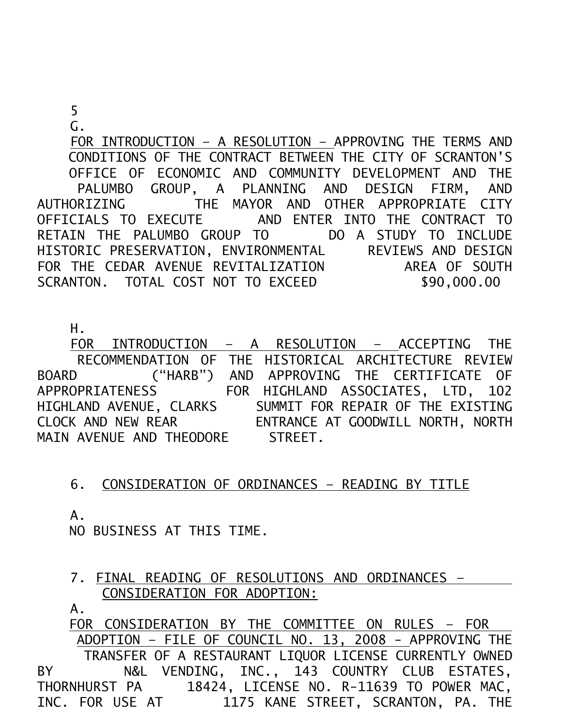## 5

G.

 FOR INTRODUCTION – A RESOLUTION – APPROVING THE TERMS AND CONDITIONS OF THE CONTRACT BETWEEN THE CITY OF SCRANTON'S OFFICE OF ECONOMIC AND COMMUNITY DEVELOPMENT AND THE PALUMBO GROUP, A PLANNING AND DESIGN FIRM, AND AUTHORIZING THE MAYOR AND OTHER APPROPRIATE CITY OFFICIALS TO EXECUTE AND ENTER INTO THE CONTRACT TO RETAIN THE PALUMBO GROUP TO DO A STUDY TO INCLUDE HISTORIC PRESERVATION, ENVIRONMENTAL REVIEWS AND DESIGN FOR THE CEDAR AVENUE REVITALIZATION AREA OF SOUTH SCRANTON. TOTAL COST NOT TO EXCEED \$90,000.00

H.

 FOR INTRODUCTION – A RESOLUTION – ACCEPTING THE RECOMMENDATION OF THE HISTORICAL ARCHITECTURE REVIEW BOARD ("HARB") AND APPROVING THE CERTIFICATE OF APPROPRIATENESS FOR HIGHLAND ASSOCIATES, LTD, 102 HIGHLAND AVENUE, CLARKS SUMMIT FOR REPAIR OF THE EXISTING CLOCK AND NEW REAR ENTRANCE AT GOODWILL NORTH, NORTH MAIN AVENUE AND THEODORE STREET.

## 6. CONSIDERATION OF ORDINANCES – READING BY TITLE

A.

NO BUSINESS AT THIS TIME.

7. FINAL READING OF RESOLUTIONS AND ORDINANCES – CONSIDERATION FOR ADOPTION:

A.

 FOR CONSIDERATION BY THE COMMITTEE ON RULES – FOR ADOPTION – FILE OF COUNCIL NO. 13, 2008 - APPROVING THE TRANSFER OF A RESTAURANT LIQUOR LICENSE CURRENTLY OWNED BY N&L VENDING, INC., 143 COUNTRY CLUB ESTATES, THORNHURST PA 18424, LICENSE NO. R-11639 TO POWER MAC,<br>INC. FOR USE AT 1175 KANE STREET, SCRANTON. PA. THE 1175 KANE STREET, SCRANTON, PA. THE